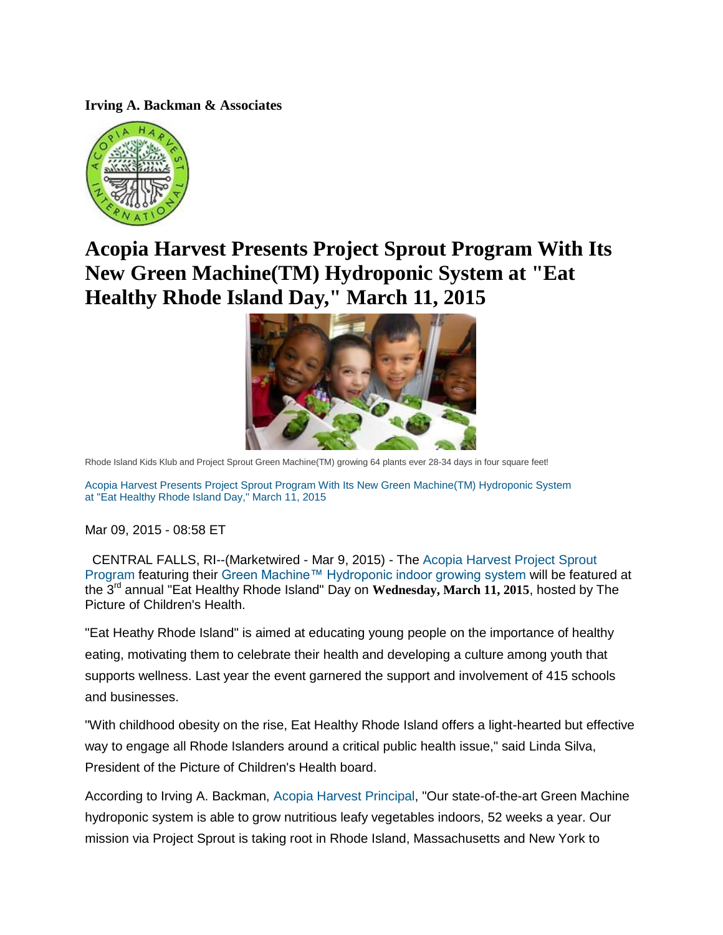**Irving A. Backman & Associates**



## **Acopia Harvest Presents Project Sprout Program With Its New Green Machine(TM) Hydroponic System at "Eat Healthy Rhode Island Day," March 11, 2015**



Rhode Island Kids Klub and Project Sprout Green Machine(TM) growing 64 plants ever 28-34 days in four square feet!

[Acopia Harvest Presents Project Sprout Program With Its New Green Machine\(TM\) Hydroponic System](http://media.mwnewsroom.com/Dallas-Morning-News/-1927092)  [at "Eat Healthy Rhode Island Day," March 11, 2015](http://media.mwnewsroom.com/Dallas-Morning-News/-1927092) 

Mar 09, 2015 - 08:58 ET

CENTRAL FALLS, RI--(Marketwired - Mar 9, 2015) - The [Acopia Harvest Project Sprout](http://acopiaharvest.com/)  [Program](http://acopiaharvest.com/) featuring their [Green Machine™ Hydroponic indoor growing system](http://acopiaharvest.com/) will be featured at the 3rd annual "Eat Healthy Rhode Island" Day on **Wednesday, March 11, 2015**, hosted by The Picture of Children's Health.

"Eat Heathy Rhode Island" is aimed at educating young people on the importance of healthy eating, motivating them to celebrate their health and developing a culture among youth that supports wellness. Last year the event garnered the support and involvement of 415 schools and businesses.

"With childhood obesity on the rise, Eat Healthy Rhode Island offers a light-hearted but effective way to engage all Rhode Islanders around a critical public health issue," said Linda Silva, President of the Picture of Children's Health board.

According to Irving A. Backman, [Acopia Harvest Principal,](http://acopiaharvest.com/) "Our state-of-the-art Green Machine hydroponic system is able to grow nutritious leafy vegetables indoors, 52 weeks a year. Our mission via Project Sprout is taking root in Rhode Island, Massachusetts and New York to